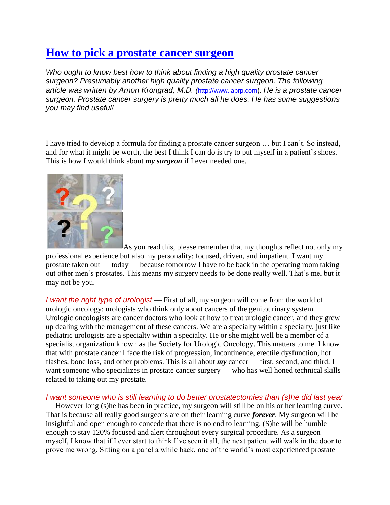## **[How to pick a prostate cancer](http://prostatecancerinfolink.net/tips-tools/pick-surgeon/) surgeon**

*Who ought to know best how to think about finding a high quality prostate cancer surgeon? Presumably another high quality prostate cancer surgeon. The following article was written by Arnon Krongrad, M.D. (*[http://www.laprp.com](http://www.laprp.com/)). *He is a prostate cancer surgeon. Prostate cancer surgery is pretty much all he does. He has some suggestions you may find useful!*

I have tried to develop a formula for finding a prostate cancer surgeon … but I can't. So instead, and for what it might be worth, the best I think I can do is try to put myself in a patient's shoes. This is how I would think about *my surgeon* if I ever needed one.

— — —



[A](http://talkaboutprostatecancer.files.wordpress.com/2008/04/picksurgeon.png)s you read this, please remember that my thoughts reflect not only my professional experience but also my personality: focused, driven, and impatient. I want my prostate taken out — today — because tomorrow I have to be back in the operating room taking out other men's prostates. This means my surgery needs to be done really well. That's me, but it may not be you.

*I want the right type of urologist* — First of all, my surgeon will come from the world of urologic oncology: urologists who think only about cancers of the genitourinary system. Urologic oncologists are cancer doctors who look at how to treat urologic cancer, and they grew up dealing with the management of these cancers. We are a specialty within a specialty, just like pediatric urologists are a specialty within a specialty. He or she might well be a member of a specialist organization known as the Society for Urologic Oncology. This matters to me. I know that with prostate cancer I face the risk of progression, incontinence, erectile dysfunction, hot flashes, bone loss, and other problems. This is all about *my* cancer — first, second, and third. I want someone who specializes in prostate cancer surgery — who has well honed technical skills related to taking out my prostate.

*I want someone who is still learning to do better prostatectomies than (s)he did last year* — However long (s)he has been in practice, my surgeon will still be on his or her learning curve. That is because all really good surgeons are on their learning curve *forever*. My surgeon will be insightful and open enough to concede that there is no end to learning. (S)he will be humble enough to stay 120% focused and alert throughout every surgical procedure. As a surgeon myself, I know that if I ever start to think I've seen it all, the next patient will walk in the door to prove me wrong. Sitting on a panel a while back, one of the world's most experienced prostate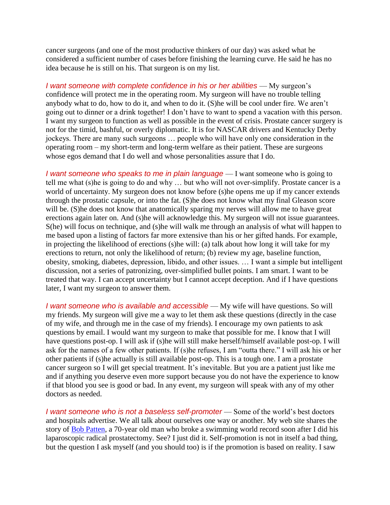cancer surgeons (and one of the most productive thinkers of our day) was asked what he considered a sufficient number of cases before finishing the learning curve. He said he has no idea because he is still on his. That surgeon is on my list.

*I want someone with complete confidence in his or her abilities* — My surgeon's confidence will protect me in the operating room. My surgeon will have no trouble telling anybody what to do, how to do it, and when to do it. (S)he will be cool under fire. We aren't going out to dinner or a drink together! I don't have to want to spend a vacation with this person. I want my surgeon to function as well as possible in the event of crisis. Prostate cancer surgery is not for the timid, bashful, or overly diplomatic. It is for NASCAR drivers and Kentucky Derby jockeys. There are many such surgeons … people who will have only one consideration in the operating room – my short-term and long-term welfare as their patient. These are surgeons whose egos demand that I do well and whose personalities assure that I do.

*I* want someone who speaks to me in plain language — I want someone who is going to tell me what (s)he is going to do and why … but who will not over-simplify. Prostate cancer is a world of uncertainty. My surgeon does not know before (s)he opens me up if my cancer extends through the prostatic capsule, or into the fat. (S)he does not know what my final Gleason score will be. (S)he does not know that anatomically sparing my nerves will allow me to have great erections again later on. And (s)he will acknowledge this. My surgeon will not issue guarantees. S(he) will focus on technique, and (s)he will walk me through an analysis of what will happen to me based upon a listing of factors far more extensive than his or her gifted hands. For example, in projecting the likelihood of erections (s)he will: (a) talk about how long it will take for my erections to return, not only the likelihood of return; (b) review my age, baseline function, obesity, smoking, diabetes, depression, libido, and other issues. … I want a simple but intelligent discussion, not a series of patronizing, over-simplified bullet points. I am smart. I want to be treated that way. I can accept uncertainty but I cannot accept deception. And if I have questions later, I want my surgeon to answer them.

*I* want someone who is available and accessible — My wife will have questions. So will my friends. My surgeon will give me a way to let them ask these questions (directly in the case of my wife, and through me in the case of my friends). I encourage my own patients to ask questions by email. I would want my surgeon to make that possible for me. I know that I will have questions post-op. I will ask if (s)he will still make herself/himself available post-op. I will ask for the names of a few other patients. If (s)he refuses, I am "outta there." I will ask his or her other patients if (s)he actually is still available post-op. This is a tough one. I am a prostate cancer surgeon so I will get special treatment. It's inevitable. But you are a patient just like me and if anything you deserve even more support because you do not have the experience to know if that blood you see is good or bad. In any event, my surgeon will speak with any of my other doctors as needed.

*I* want someone who is not a baseless self-promoter — Some of the world's best doctors and hospitals advertise. We all talk about ourselves one way or another. My web site shares the story of [Bob Patten,](http://www.laprp.com/bob_patten.php) a 70-year old man who broke a swimming world record soon after I did his laparoscopic radical prostatectomy. See? I just did it. Self-promotion is not in itself a bad thing, but the question I ask myself (and you should too) is if the promotion is based on reality. I saw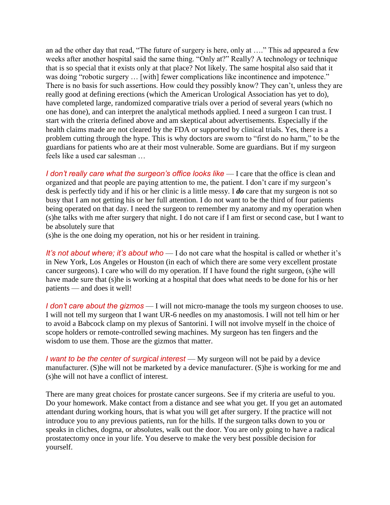an ad the other day that read, "The future of surgery is here, only at  $\dots$ ." This ad appeared a few weeks after another hospital said the same thing. "Only at?" Really? A technology or technique that is so special that it exists only at that place? Not likely. The same hospital also said that it was doing "robotic surgery ... [with] fewer complications like incontinence and impotence." There is no basis for such assertions. How could they possibly know? They can't, unless they are really good at defining erections (which the American Urological Association has yet to do), have completed large, randomized comparative trials over a period of several years (which no one has done), and can interpret the analytical methods applied. I need a surgeon I can trust. I start with the criteria defined above and am skeptical about advertisements. Especially if the health claims made are not cleared by the FDA or supported by clinical trials. Yes, there is a problem cutting through the hype. This is why doctors are sworn to "first do no harm," to be the guardians for patients who are at their most vulnerable. Some are guardians. But if my surgeon feels like a used car salesman …

*I* don't really care what the surgeon's office looks like — I care that the office is clean and organized and that people are paying attention to me, the patient. I don't care if my surgeon's desk is perfectly tidy and if his or her clinic is a little messy. I *do* care that my surgeon is not so busy that I am not getting his or her full attention. I do not want to be the third of four patients being operated on that day. I need the surgeon to remember my anatomy and my operation when (s)he talks with me after surgery that night. I do not care if I am first or second case, but I want to be absolutely sure that

(s)he is the one doing my operation, not his or her resident in training.

*It's not about where; it's about who* — I do not care what the hospital is called or whether it's in New York, Los Angeles or Houston (in each of which there are some very excellent prostate cancer surgeons). I care who will do my operation. If I have found the right surgeon, (s)he will have made sure that (s)he is working at a hospital that does what needs to be done for his or her patients — and does it well!

*I don't care about the gizmos* — I will not micro-manage the tools my surgeon chooses to use. I will not tell my surgeon that I want UR-6 needles on my anastomosis. I will not tell him or her to avoid a Babcock clamp on my plexus of Santorini. I will not involve myself in the choice of scope holders or remote-controlled sewing machines. My surgeon has ten fingers and the wisdom to use them. Those are the gizmos that matter.

*I want to be the center of surgical interest* — My surgeon will not be paid by a device manufacturer. (S)he will not be marketed by a device manufacturer. (S)he is working for me and (s)he will not have a conflict of interest.

There are many great choices for prostate cancer surgeons. See if my criteria are useful to you. Do your homework. Make contact from a distance and see what you get. If you get an automated attendant during working hours, that is what you will get after surgery. If the practice will not introduce you to any previous patients, run for the hills. If the surgeon talks down to you or speaks in cliches, dogma, or absolutes, walk out the door. You are only going to have a radical prostatectomy once in your life. You deserve to make the very best possible decision for yourself.